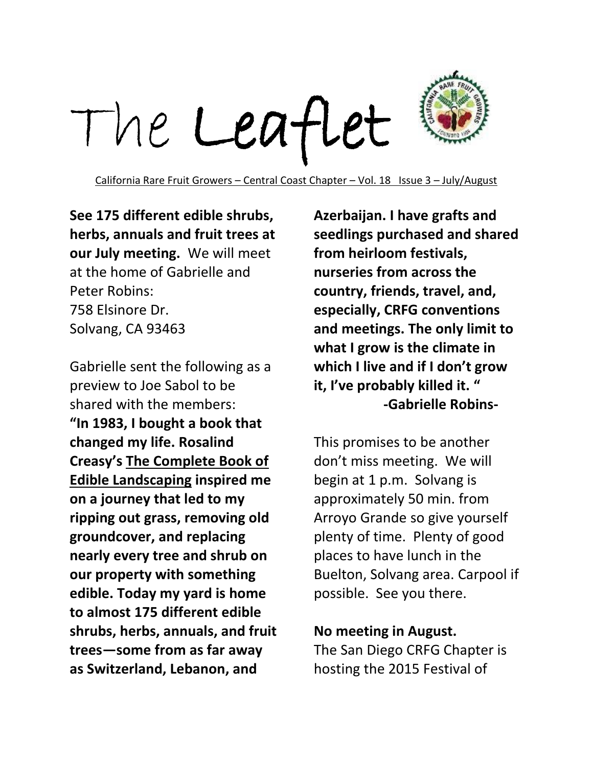

California Rare Fruit Growers – Central Coast Chapter – Vol. 18 Issue 3 – July/August

**See 175 different edible shrubs, herbs, annuals and fruit trees at our July meeting.** We will meet at the home of Gabrielle and Peter Robins: 758 Elsinore Dr. Solvang, CA 93463

Gabrielle sent the following as a preview to Joe Sabol to be shared with the members: **"In 1983, I bought a book that changed my life. Rosalind Creasy's The Complete Book of Edible Landscaping inspired me on a journey that led to my ripping out grass, removing old groundcover, and replacing nearly every tree and shrub on our property with something edible. Today my yard is home to almost 175 different edible shrubs, herbs, annuals, and fruit trees—some from as far away as Switzerland, Lebanon, and** 

**Azerbaijan. I have grafts and seedlings purchased and shared from heirloom festivals, nurseries from across the country, friends, travel, and, especially, CRFG conventions and meetings. The only limit to what I grow is the climate in which I live and if I don't grow it, I've probably killed it. " -Gabrielle Robins-**

This promises to be another don't miss meeting. We will begin at 1 p.m. Solvang is approximately 50 min. from Arroyo Grande so give yourself plenty of time. Plenty of good places to have lunch in the Buelton, Solvang area. Carpool if possible. See you there.

### **No meeting in August.**

The San Diego CRFG Chapter is hosting the 2015 Festival of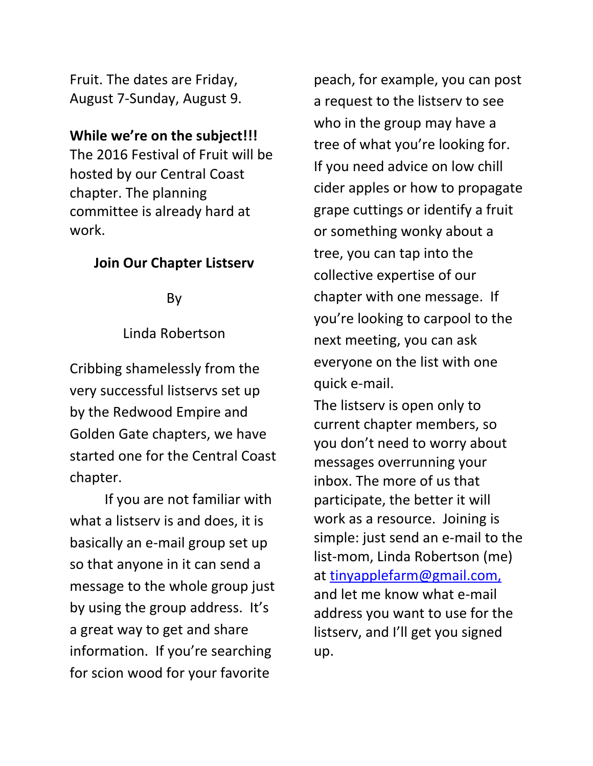Fruit. The dates are Friday, August 7-Sunday, August 9.

### **While we're on the subject!!!**

The 2016 Festival of Fruit will be hosted by our Central Coast chapter. The planning committee is already hard at work.

# **Join Our Chapter Listserv**

By

### Linda Robertson

Cribbing shamelessly from the very successful listservs set up by the Redwood Empire and Golden Gate chapters, we have started one for the Central Coast chapter.

If you are not familiar with what a listserv is and does, it is basically an e-mail group set up so that anyone in it can send a message to the whole group just by using the group address. It's a great way to get and share information. If you're searching for scion wood for your favorite

peach, for example, you can post a request to the listserv to see who in the group may have a tree of what you're looking for. If you need advice on low chill cider apples or how to propagate grape cuttings or identify a fruit or something wonky about a tree, you can tap into the collective expertise of our chapter with one message. If you're looking to carpool to the next meeting, you can ask everyone on the list with one quick e-mail.

The listserv is open only to current chapter members, so you don't need to worry about messages overrunning your inbox. The more of us that participate, the better it will work as a resource. Joining is simple: just send an e-mail to the list-mom, Linda Robertson (me) at tinyapplefarm@gmail.com, and let me know what e-mail address you want to use for the listserv, and I'll get you signed up.